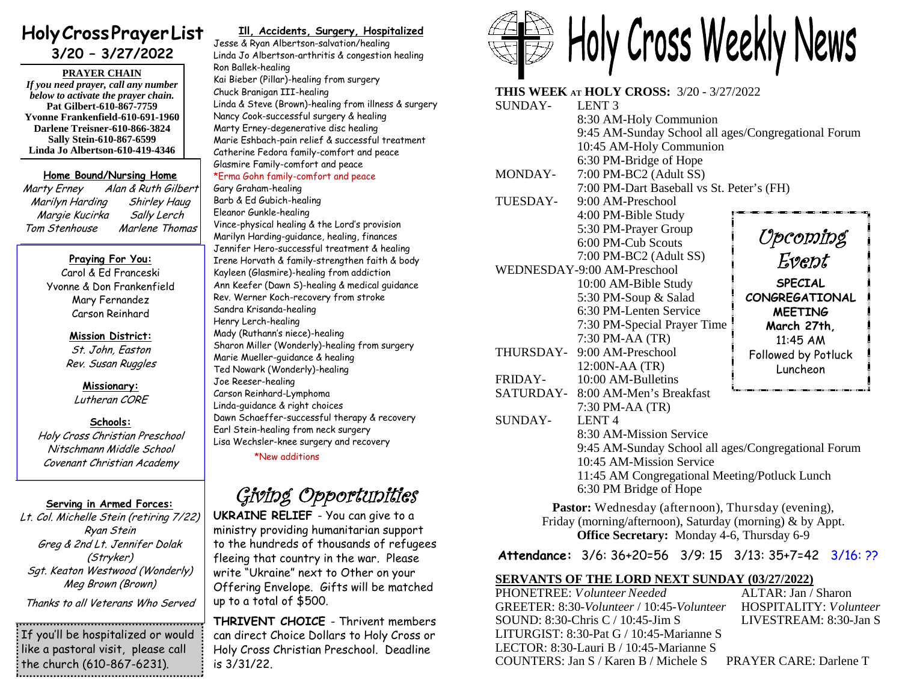# **HolyCrossPrayerList 3/20 – 3/27/2022**

**PRAYER CHAIN** *If you need prayer, call any number below to activate the prayer chain.* **Pat Gilbert-610-867-7759 Yvonne Frankenfield-610-691-1960**

**Darlene Treisner-610-866-3824 Sally Stein-610-867-6599 Linda Jo Albertson-610-419-4346**

#### **Home Bound/Nursing Home**

*Marty Erney Alan & Ruth Gilbert Marilyn Harding Shirley Haug Margie Kucirka Sally Lerch Tom Stenhouse Marlene Thomas*

### **Praying For You:**

Carol & Ed Franceski Yvonne & Don Frankenfield Mary Fernandez Carson Reinhard

#### **Mission District:**

*St. John, Easton Rev. Susan Ruggles*

#### **Missionary:** *Lutheran CORE*

### **Schools:**

*Holy Cross Christian Preschool Nitschmann Middle School Covenant Christian Academy*

## **Serving in Armed Forces:**

*Lt. Col. Michelle Stein (retiring 7/22) Ryan Stein Greg & 2nd Lt. Jennifer Dolak (Stryker) Sgt. Keaton Westwood (Wonderly) Meg Brown (Brown)*

*Thanks to all Veterans Who Served*

If you'll be hospitalized or would like a pastoral visit, please call  $\frac{1}{2}$  the church (610-867-6231).

# **Ill, Accidents, Surgery, Hospitalized**

Jesse & Ryan Albertson-salvation/healing Linda Jo Albertson-arthritis & congestion healing Ron Ballek-healing Kai Bieber (Pillar)-healing from surgery Chuck Branigan III-healing Linda & Steve (Brown)-healing from illness & surgery Nancy Cook-successful surgery & healing Marty Erney-degenerative disc healing Marie Eshbach-pain relief & successful treatment Catherine Fedora family-comfort and peace Glasmire Family-comfort and peace \*Erma Gohn family-comfort and peace

#### Gary Graham-healing Barb & Ed Gubich-healing Eleanor Gunkle-healing Vince-physical healing & the Lord's provision Marilyn Harding-guidance, healing, finances Jennifer Hero-successful treatment & healing Irene Horvath & family-strengthen faith & body Kayleen (Glasmire)-healing from addiction Ann Keefer (Dawn S)-healing & medical guidance Rev. Werner Koch-recovery from stroke Sandra Krisanda-healing Henry Lerch-healing Mady (Ruthann's niece)-healing Sharon Miller (Wonderly)-healing from surgery Marie Mueller-guidance & healing Ted Nowark (Wonderly)-healing Joe Reeser-healing Carson Reinhard-Lymphoma Linda-guidance & right choices Dawn Schaeffer-successful therapy & recovery Earl Stein-healing from neck surgery Lisa Wechsler-knee surgery and recovery

\*New additions

*Giving Opportunities*

**UKRAINE RELIEF** - You can give to a ministry providing humanitarian support to the hundreds of thousands of refugees fleeing that country in the war. Please write "Ukraine" next to Other on your Offering Envelope. Gifts will be matched up to a total of \$500.

**THRIVENT CHOICE** - Thrivent members can direct Choice Dollars to Holy Cross or Holy Cross Christian Preschool. Deadline is 3/31/22.



| 8:30 AM-Holy Communion<br>9:45 AM-Sunday School all ages/Congregational Forum<br>10:45 AM-Holy Communion<br>6:30 PM-Bridge of Hope<br>7:00 PM-BC2 (Adult SS)<br>MONDAY-<br>7:00 PM-Dart Baseball vs St. Peter's (FH)<br>TUESDAY-<br>9:00 AM-Preschool<br>4:00 PM-Bible Study<br>5:30 PM-Prayer Group<br>6:00 PM-Cub Scouts<br>7:00 PM-BC2 (Adult SS)<br>WEDNESDAY-9:00 AM-Preschool<br>10:00 AM-Bible Study<br>5:30 PM-Soup & Salad<br>6:30 PM-Lenten Service<br>7:30 PM-Special Prayer Time<br>7:30 PM-AA (TR)<br>THURSDAY- 9:00 AM-Preschool |                     |
|------------------------------------------------------------------------------------------------------------------------------------------------------------------------------------------------------------------------------------------------------------------------------------------------------------------------------------------------------------------------------------------------------------------------------------------------------------------------------------------------------------------------------------------------|---------------------|
|                                                                                                                                                                                                                                                                                                                                                                                                                                                                                                                                                |                     |
|                                                                                                                                                                                                                                                                                                                                                                                                                                                                                                                                                |                     |
|                                                                                                                                                                                                                                                                                                                                                                                                                                                                                                                                                |                     |
|                                                                                                                                                                                                                                                                                                                                                                                                                                                                                                                                                |                     |
|                                                                                                                                                                                                                                                                                                                                                                                                                                                                                                                                                |                     |
|                                                                                                                                                                                                                                                                                                                                                                                                                                                                                                                                                |                     |
|                                                                                                                                                                                                                                                                                                                                                                                                                                                                                                                                                |                     |
|                                                                                                                                                                                                                                                                                                                                                                                                                                                                                                                                                |                     |
|                                                                                                                                                                                                                                                                                                                                                                                                                                                                                                                                                |                     |
|                                                                                                                                                                                                                                                                                                                                                                                                                                                                                                                                                | Upcoming            |
|                                                                                                                                                                                                                                                                                                                                                                                                                                                                                                                                                | Event               |
|                                                                                                                                                                                                                                                                                                                                                                                                                                                                                                                                                |                     |
|                                                                                                                                                                                                                                                                                                                                                                                                                                                                                                                                                | <b>SPECIAL</b>      |
|                                                                                                                                                                                                                                                                                                                                                                                                                                                                                                                                                | CONGREGATIONAL      |
|                                                                                                                                                                                                                                                                                                                                                                                                                                                                                                                                                | <b>MEETING</b>      |
|                                                                                                                                                                                                                                                                                                                                                                                                                                                                                                                                                | March 27th,         |
|                                                                                                                                                                                                                                                                                                                                                                                                                                                                                                                                                | 11:45 AM            |
|                                                                                                                                                                                                                                                                                                                                                                                                                                                                                                                                                | Followed by Potluck |
| 12:00N-AA (TR)                                                                                                                                                                                                                                                                                                                                                                                                                                                                                                                                 | Luncheon            |
| <b>FRIDAY-</b><br>10:00 AM-Bulletins                                                                                                                                                                                                                                                                                                                                                                                                                                                                                                           |                     |
| SATURDAY- 8:00 AM-Men's Breakfast                                                                                                                                                                                                                                                                                                                                                                                                                                                                                                              |                     |
| 7:30 PM-AA (TR)                                                                                                                                                                                                                                                                                                                                                                                                                                                                                                                                |                     |
| SUNDAY-<br><b>LENT4</b>                                                                                                                                                                                                                                                                                                                                                                                                                                                                                                                        |                     |
| 8:30 AM-Mission Service                                                                                                                                                                                                                                                                                                                                                                                                                                                                                                                        |                     |
| 9:45 AM-Sunday School all ages/Congregational Forum                                                                                                                                                                                                                                                                                                                                                                                                                                                                                            |                     |
| 10:45 AM-Mission Service                                                                                                                                                                                                                                                                                                                                                                                                                                                                                                                       |                     |
| 11:45 AM Congregational Meeting/Potluck Lunch                                                                                                                                                                                                                                                                                                                                                                                                                                                                                                  |                     |
| 6:30 PM Bridge of Hope                                                                                                                                                                                                                                                                                                                                                                                                                                                                                                                         |                     |
| Pastor: Wednesday (afternoon), Thursday (evening),                                                                                                                                                                                                                                                                                                                                                                                                                                                                                             |                     |

**Office Secretary:** Monday 4-6, Thursday 6-9

**Attendance:** 3/6: 36+20=56 3/9: 15 3/13: 35+7=42 3/16: ??

# **SERVANTS OF THE LORD NEXT SUNDAY (03/27/2022)**

PHONETREE: *Volunteer Needed* GREETER: 8:30-*Volunteer* / 10:45-*Volunteer* HOSPITALITY: *Volunteer* SOUND: 8:30-Chris C / 10:45-Jim S LIVESTREAM: 8:30-Jan S LITURGIST: 8:30-Pat G / 10:45-Marianne S LECTOR: 8:30-Lauri B / 10:45-Marianne S COUNTERS: Jan S / Karen B / Michele S PRAYER CARE: Darlene T